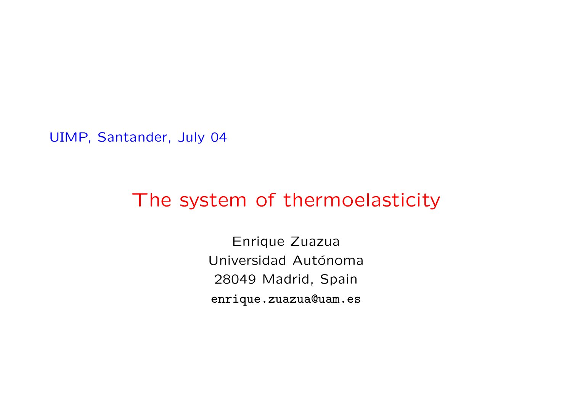UIMP, Santander, July 04

# The system of thermoelasticity

Enrique Zuazua Universidad Autónoma 28049 Madrid, Spain enrique.zuazua@uam.es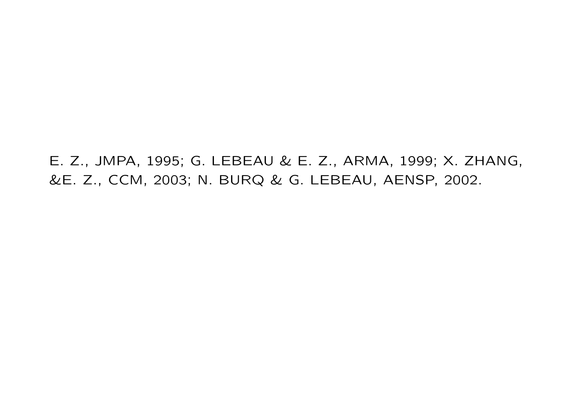E. Z., JMPA, 1995; G. LEBEAU & E. Z., ARMA, 1999; X. ZHANG, &E. Z., CCM, 2003; N. BURQ & G. LEBEAU, AENSP, 2002.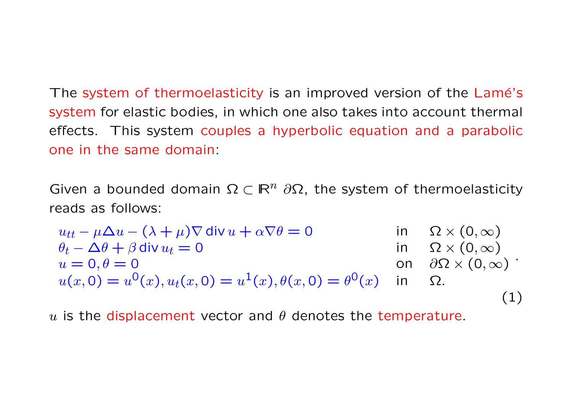The system of thermoelasticity is an improved version of the Lamé's system for elastic bodies, in which one also takes into account thermal effects. This system couples a hyperbolic equation and a parabolic one in the same domain:

Given a bounded domain  $\Omega \subset \mathbb{R}^n$  ∂ $\Omega$ , the system of thermoelasticity reads as follows:

$$
u_{tt} - \mu \Delta u - (\lambda + \mu) \nabla \operatorname{div} u + \alpha \nabla \theta = 0 \quad \text{in} \quad \Omega \times (0, \infty)
$$
  
\n
$$
\theta_t - \Delta \theta + \beta \operatorname{div} u_t = 0 \quad \text{in} \quad \Omega \times (0, \infty)
$$
  
\n
$$
u = 0, \theta = 0 \quad \text{on} \quad \partial \Omega \times (0, \infty)
$$
  
\n
$$
u(x, 0) = u^0(x), u_t(x, 0) = u^1(x), \theta(x, 0) = \theta^0(x) \quad \text{in} \quad \Omega.
$$
  
\n(1)

u is the displacement vector and  $\theta$  denotes the temperature.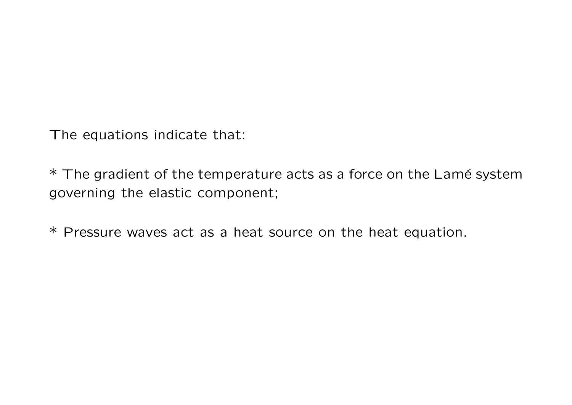The equations indicate that:

 $*$  The gradient of the temperature acts as a force on the Lamé system governing the elastic component;

\* Pressure waves act as a heat source on the heat equation.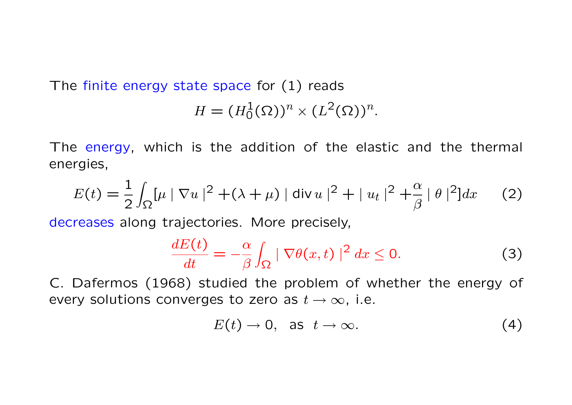The finite energy state space for (1) reads  
\n
$$
H = (H_0^1(\Omega))^n \times (L^2(\Omega))^n.
$$

The energy, which is the addition of the elastic and the thermal energies,

$$
E(t) = \frac{1}{2} \int_{\Omega} \left[ \mu \mid \nabla u \mid^{2} + (\lambda + \mu) \mid \text{div } u \mid^{2} + \mid u_{t} \mid^{2} + \frac{\alpha}{\beta} \mid \theta \mid^{2} \right] dx \tag{2}
$$

decreases along trajectories. More precisely,

$$
\frac{dE(t)}{dt} = -\frac{\alpha}{\beta} \int_{\Omega} |\nabla \theta(x, t)|^2 dx \le 0.
$$
 (3)

C. Dafermos (1968) studied the problem of whether the energy of every solutions converges to zero as  $t \to \infty$ , i.e.

$$
E(t) \to 0, \text{ as } t \to \infty. \tag{4}
$$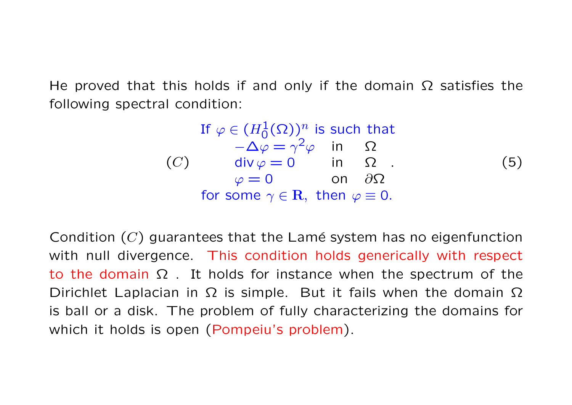He proved that this holds if and only if the domain  $\Omega$  satisfies the following spectral condition:

If 
$$
\varphi \in (H_0^1(\Omega))^n
$$
 is such that  
\n $-\Delta \varphi = \gamma^2 \varphi$  in  $\Omega$   
\n(C)  $\operatorname{div} \varphi = 0$  in  $\Omega$ .  
\n $\varphi = 0$  on  $\partial \Omega$   
\nfor some  $\gamma \in \mathbb{R}$ , then  $\varphi \equiv 0$ .

Condition  $(C)$  guarantees that the Lamé system has no eigenfunction with null divergence. This condition holds generically with respect to the domain  $\Omega$ . It holds for instance when the spectrum of the Dirichlet Laplacian in  $\Omega$  is simple. But it fails when the domain  $\Omega$ is ball or a disk. The problem of fully characterizing the domains for which it holds is open (Pompeiu's problem).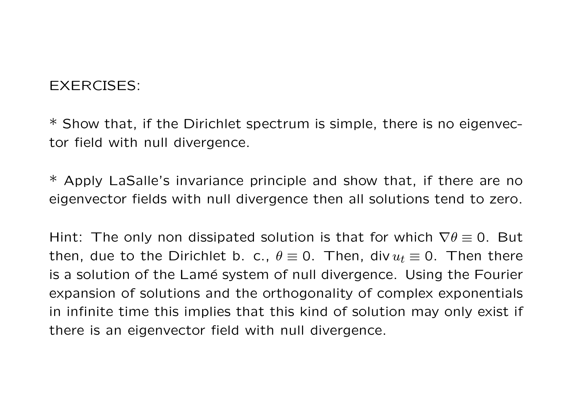### EXERCISES:

\* Show that, if the Dirichlet spectrum is simple, there is no eigenvector field with null divergence.

\* Apply LaSalle's invariance principle and show that, if there are no eigenvector fields with null divergence then all solutions tend to zero.

Hint: The only non dissipated solution is that for which  $\nabla \theta \equiv 0$ . But then, due to the Dirichlet b. c.,  $\theta \equiv 0$ . Then, div  $u_t \equiv 0$ . Then there is a solution of the Lamé system of null divergence. Using the Fourier expansion of solutions and the orthogonality of complex exponentials in infinite time this implies that this kind of solution may only exist if there is an eigenvector field with null divergence.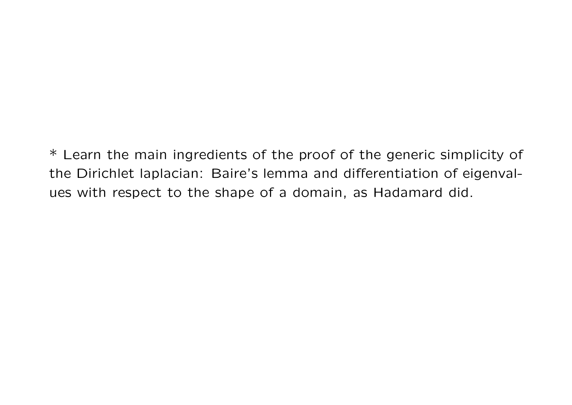\* Learn the main ingredients of the proof of the generic simplicity of the Dirichlet laplacian: Baire's lemma and differentiation of eigenvalues with respect to the shape of a domain, as Hadamard did.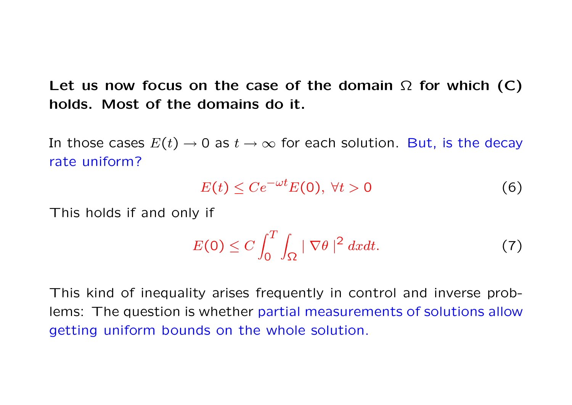Let us now focus on the case of the domain  $\Omega$  for which (C) holds. Most of the domains do it.

In those cases  $E(t) \rightarrow 0$  as  $t \rightarrow \infty$  for each solution. But, is the decay rate uniform?

$$
E(t) \le Ce^{-\omega t} E(0), \ \forall t > 0 \tag{6}
$$

This holds if and only if

$$
E(0) \le C \int_0^T \int_{\Omega} |\nabla \theta|^2 dx dt. \tag{7}
$$

This kind of inequality arises frequently in control and inverse problems: The question is whether partial measurements of solutions allow getting uniform bounds on the whole solution.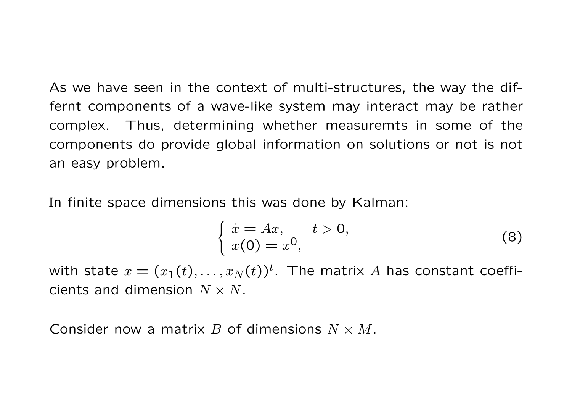As we have seen in the context of multi-structures, the way the differnt components of a wave-like system may interact may be rather complex. Thus, determining whether measuremts in some of the components do provide global information on solutions or not is not an easy problem.

In finite space dimensions this was done by Kalman:

$$
\begin{cases}\n\dot{x} = Ax, & t > 0, \\
x(0) = x^0,\n\end{cases}
$$
\n(8)

with state  $x=(x_1(t),\ldots,x_N(t))^t.$  The matrix  $A$  has constant coefficients and dimension  $N \times N$ .

Consider now a matrix B of dimensions  $N \times M$ .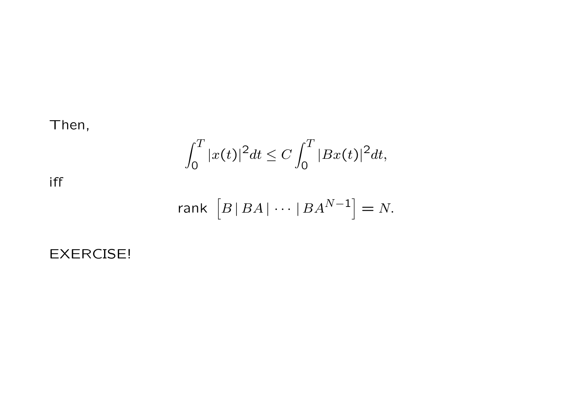# Then,

$$
\int_0^T |x(t)|^2 dt \le C \int_0^T |Bx(t)|^2 dt,
$$

iff

$$
\text{rank } \left[ B \, | \, BA \, | \, \cdots \, | \, BA^{N-1} \right] = N.
$$

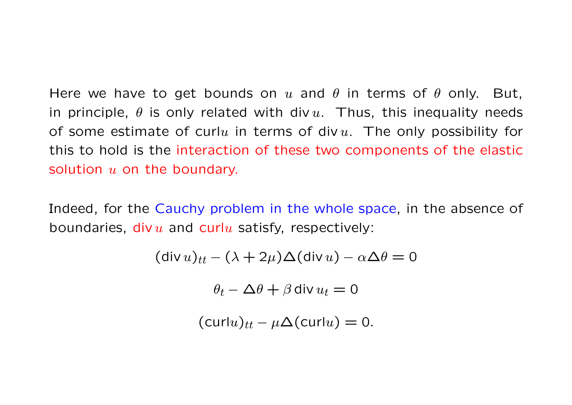Here we have to get bounds on u and  $\theta$  in terms of  $\theta$  only. But, in principle,  $\theta$  is only related with div  $u$ . Thus, this inequality needs of some estimate of curlu in terms of div  $u$ . The only possibility for this to hold is the interaction of these two components of the elastic solution  $u$  on the boundary.

Indeed, for the Cauchy problem in the whole space, in the absence of boundaries, div  $u$  and curlu satisfy, respectively:

$$
(\text{div } u)_{tt} - (\lambda + 2\mu)\Delta(\text{div } u) - \alpha \Delta \theta = 0
$$

$$
\theta_t - \Delta \theta + \beta \text{div } u_t = 0
$$

$$
(\text{curl } u)_{tt} - \mu \Delta(\text{curl } u) = 0.
$$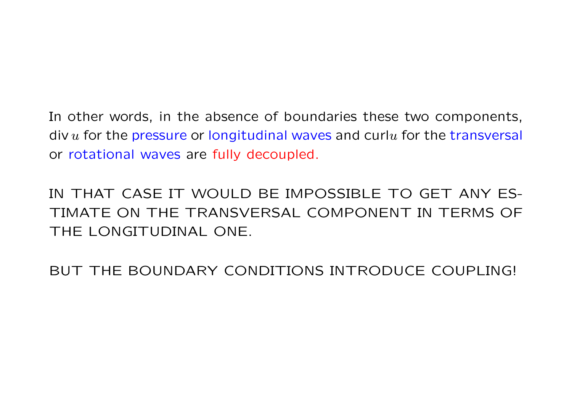In other words, in the absence of boundaries these two components, div  $u$  for the pressure or longitudinal waves and curl $u$  for the transversal or rotational waves are fully decoupled.

IN THAT CASE IT WOULD BE IMPOSSIBLE TO GET ANY ES-TIMATE ON THE TRANSVERSAL COMPONENT IN TERMS OF THE LONGITUDINAL ONE.

BUT THE BOUNDARY CONDITIONS INTRODUCE COUPLING!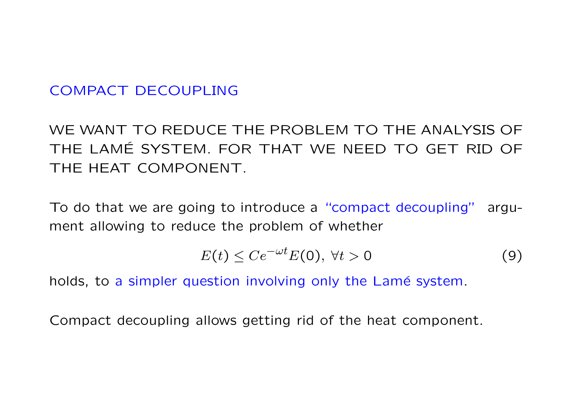## COMPACT DECOUPLING

WE WANT TO REDUCE THE PROBLEM TO THE ANALYSIS OF THE LAMÉ SYSTEM. FOR THAT WE NEED TO GET RID OF THE HEAT COMPONENT.

To do that we are going to introduce a "compact decoupling" argument allowing to reduce the problem of whether

$$
E(t) \le Ce^{-\omega t} E(0), \ \forall t > 0 \tag{9}
$$

holds, to a simpler question involving only the Lamé system.

Compact decoupling allows getting rid of the heat component.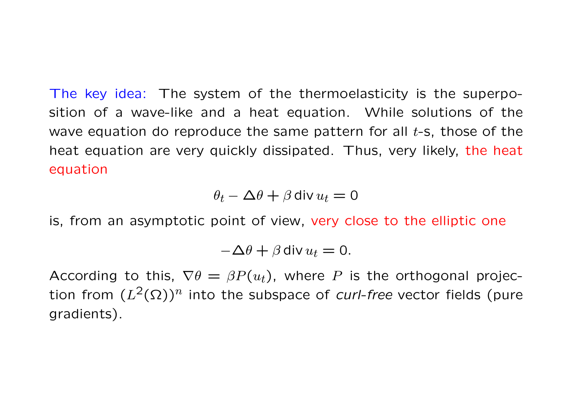The key idea: The system of the thermoelasticity is the superposition of a wave-like and a heat equation. While solutions of the wave equation do reproduce the same pattern for all  $t$ -s, those of the heat equation are very quickly dissipated. Thus, very likely, the heat equation

$$
\theta_t - \Delta\theta + \beta \operatorname{div} u_t = 0
$$

is, from an asymptotic point of view, very close to the elliptic one

$$
-\Delta\theta + \beta \operatorname{div} u_t = 0.
$$

According to this,  $\nabla \theta = \beta P(u_t)$ , where P is the orthogonal projection from  $(L^2(\Omega))^n$  into the subspace of *curl-free* vector fields (pure gradients).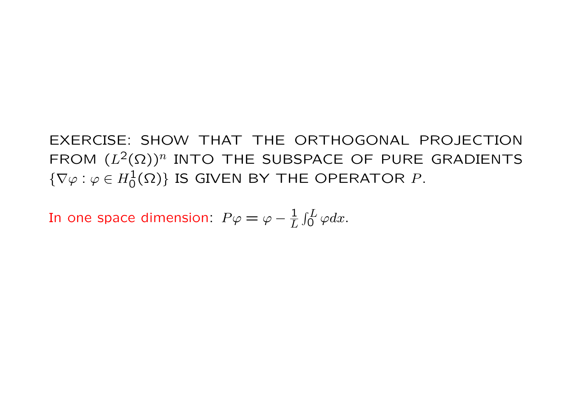EXERCISE: SHOW THAT THE ORTHOGONAL PROJECTION FROM  $(L^2(\Omega))^n$  INTO THE SUBSPACE OF PURE GRADIENTS  $\{\nabla\varphi: \varphi\in H^1_0(\Omega)\}\nightharpoonup$  IS GIVEN BY THE OPERATOR P.

In one space dimension:  $P\varphi=\varphi-\frac{1}{L}$  $\int_0^L \varphi dx.$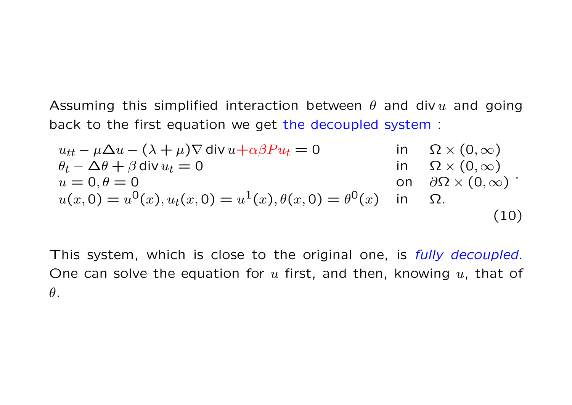Assuming this simplified interaction between  $\theta$  and div  $u$  and going back to the first equation we get the decoupled system :

$$
u_{tt} - \mu \Delta u - (\lambda + \mu) \nabla \operatorname{div} u + \alpha \beta P u_t = 0 \quad \text{in} \quad \Omega \times (0, \infty)
$$
  
\n
$$
\theta_t - \Delta \theta + \beta \operatorname{div} u_t = 0 \quad \text{in} \quad \Omega \times (0, \infty)
$$
  
\n
$$
u = 0, \theta = 0 \quad \text{on} \quad \partial \Omega \times (0, \infty)
$$
  
\n
$$
u(x, 0) = u^0(x), u_t(x, 0) = u^1(x), \theta(x, 0) = \theta^0(x) \quad \text{in} \quad \Omega.
$$
\n(10)

This system, which is close to the original one, is *fully decoupled*. One can solve the equation for  $u$  first, and then, knowing  $u$ , that of  $\theta$ .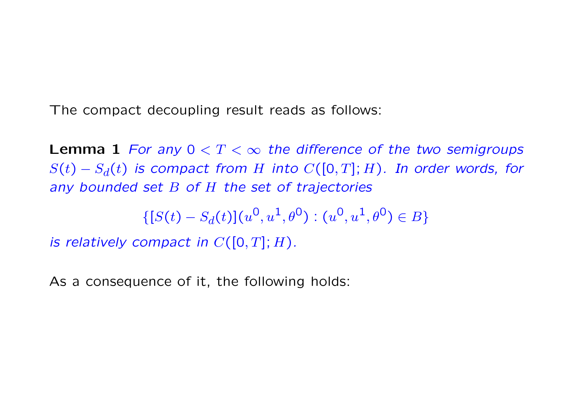The compact decoupling result reads as follows:

**Lemma 1** For any  $0 < T < \infty$  the difference of the two semigroups  $S(t) - S_d(t)$  is compact from H into  $C([0,T];H)$ . In order words, for any bounded set  $B$  of  $H$  the set of trajectories

$$
\{ [S(t) - S_d(t)](u^0, u^1, \theta^0) : (u^0, u^1, \theta^0) \in B \}
$$

is relatively compact in  $C([0, T]; H)$ .

As a consequence of it, the following holds: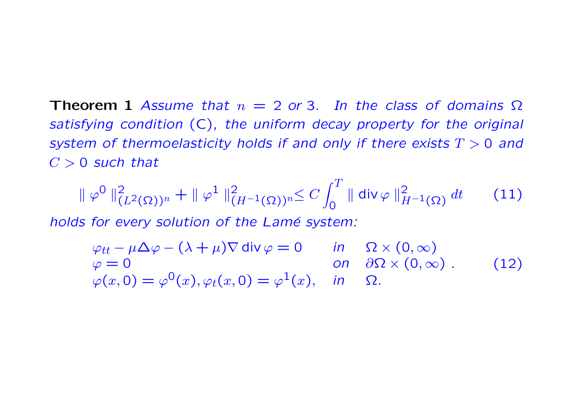Theorem 1 Assume that  $n = 2$  or 3. In the class of domains  $\Omega$ satisfying condition (C), the uniform decay property for the original system of thermoelasticity holds if and only if there exists  $T > 0$  and  $C > 0$  such that

$$
\|\varphi^0\|_{(L^2(\Omega))^n}^2 + \|\varphi^1\|_{(H^{-1}(\Omega))^n}^2 \le C \int_0^T \|\operatorname{div}\varphi\|_{H^{-1}(\Omega)}^2 dt \qquad (11)
$$

holds for every solution of the Lamé system:

$$
\varphi_{tt} - \mu \Delta \varphi - (\lambda + \mu) \nabla \operatorname{div} \varphi = 0 \quad \text{in} \quad \Omega \times (0, \infty)
$$
  

$$
\varphi = 0 \quad \text{on} \quad \partial \Omega \times (0, \infty) . \quad (12)
$$
  

$$
\varphi(x, 0) = \varphi^{0}(x), \varphi_{t}(x, 0) = \varphi^{1}(x), \quad \text{in} \quad \Omega.
$$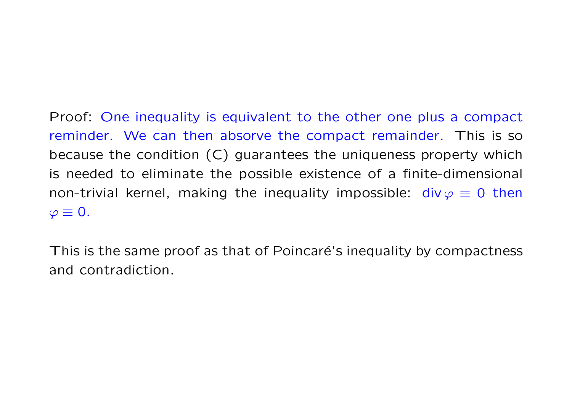Proof: One inequality is equivalent to the other one plus a compact reminder. We can then absorve the compact remainder. This is so because the condition (C) guarantees the uniqueness property which is needed to eliminate the possible existence of a finite-dimensional non-trivial kernel, making the inequality impossible: div  $\varphi \equiv 0$  then  $\varphi \equiv 0.$ 

This is the same proof as that of Poincaré's inequality by compactness and contradiction.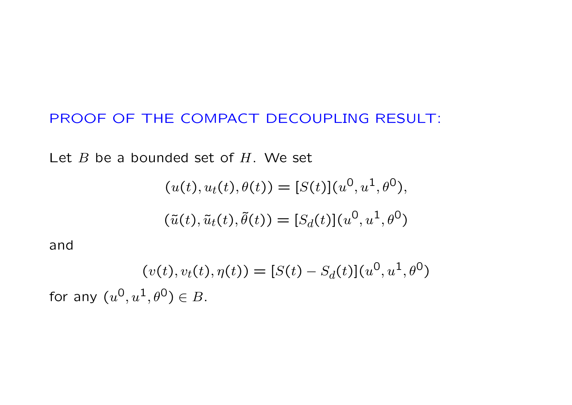### PROOF OF THE COMPACT DECOUPLING RESULT:

Let  $B$  be a bounded set of  $H$ . We set

$$
(u(t), u_t(t), \theta(t)) = [S(t)](u^0, u^1, \theta^0),
$$
  

$$
(\tilde{u}(t), \tilde{u}_t(t), \tilde{\theta}(t)) = [S_d(t)](u^0, u^1, \theta^0)
$$

and

$$
(v(t), v_t(t), \eta(t)) = [S(t) - S_d(t)](u^0, u^1, \theta^0)
$$

for any  $(u^0, u^1, \theta^0) \in B$ .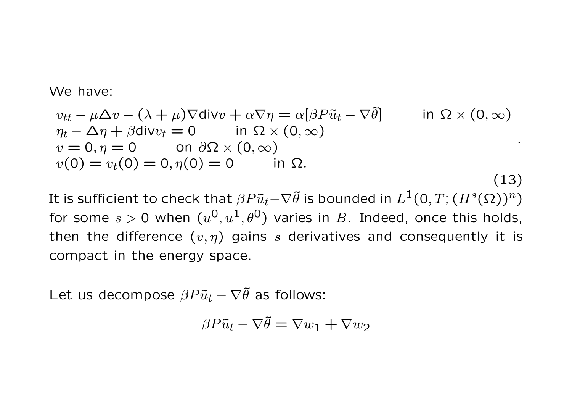We have:

$$
v_{tt} - \mu \Delta v - (\lambda + \mu) \nabla \text{div} v + \alpha \nabla \eta = \alpha [\beta P \tilde{u}_t - \nabla \tilde{\theta}] \quad \text{in } \Omega \times (0, \infty)
$$
  
\n
$$
\eta_t - \Delta \eta + \beta \text{div} v_t = 0 \quad \text{in } \Omega \times (0, \infty)
$$
  
\n
$$
v = 0, \eta = 0 \quad \text{on } \partial \Omega \times (0, \infty)
$$
  
\n
$$
v(0) = v_t(0) = 0, \eta(0) = 0 \quad \text{in } \Omega.
$$
\n(13)

.

It is sufficient to check that  $\beta P\tilde{u}_t-\nabla\tilde{\theta}$  is bounded in  $L^1(0,T;(H^s(\Omega))^n)$ for some  $s>0$  when  $(u^0,u^1,\theta^0)$  varies in  $B$ . Indeed, once this holds, then the difference  $(v, \eta)$  gains s derivatives and consequently it is compact in the energy space.

Let us decompose  $\beta P \tilde{u}_t - \nabla \tilde{\theta}$  as follows:

$$
\beta P \tilde{u}_t - \nabla \tilde{\theta} = \nabla w_1 + \nabla w_2
$$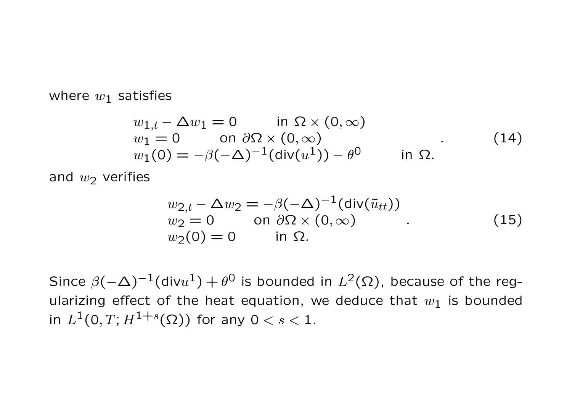where  $w_1$  satisfies

$$
w_{1,t} - \Delta w_1 = 0 \quad \text{in } \Omega \times (0, \infty)
$$
  
\n
$$
w_1 = 0 \quad \text{on } \partial\Omega \times (0, \infty)
$$
  
\n
$$
w_1(0) = -\beta(-\Delta)^{-1}(\text{div}(u^1)) - \theta^0 \quad \text{in } \Omega.
$$
\n(14)

and  $w_2$  verifies

$$
w_{2,t} - \Delta w_2 = -\beta(-\Delta)^{-1}(\text{div}(\tilde{u}_{tt}))
$$
  
\n
$$
w_2 = 0 \qquad \text{on } \partial\Omega \times (0,\infty)
$$
  
\n
$$
w_2(0) = 0 \qquad \text{in } \Omega.
$$
\n(15)

Since  $\beta(-\Delta)^{-1}$ (div $u^1) + \theta^0$  is bounded in  $L^2(\Omega)$ , because of the regularizing effect of the heat equation, we deduce that  $w_1$  is bounded in  $L^1(0,T;H^{1+s}(\Omega))$  for any  $0 < s < 1$ .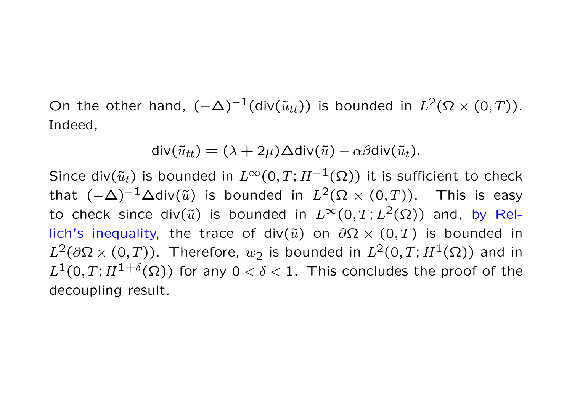On the other hand,  $(-\Delta)^{-1}$ (div $(\tilde{u}_{tt})$ ) is bounded in  $L^2(\Omega \times (0,T))$ . Indeed,

$$
\operatorname{div}(\tilde{u}_{tt}) = (\lambda + 2\mu) \Delta \operatorname{div}(\tilde{u}) - \alpha \beta \operatorname{div}(\tilde{u}_t).
$$

Since div $(\tilde u_t)$  is bounded in  $L^\infty(0,T;H^{-1}(\Omega))$  it is sufficient to check that  $(-\Delta)^{-1}\Delta$ div $(\tilde{u})$  is bounded in  $L^2(\Omega \times (0,T))$ . This is easy to check since div( $\tilde{u}$ ) is bounded in  $L^{\infty}(0,T; L^{2}(\Omega))$  and, by Rellich's inequality, the trace of div( $\tilde{u}$ ) on  $\partial\Omega\times(0,T)$  is bounded in  $L^2(\partial\Omega\times(0,T))$ . Therefore,  $w_2$  is bounded in  $L^2(0,T;H^1(\Omega))$  and in  $L^1(0,T;H^{1+\delta}(\Omega))$  for any  $0<\delta<1$ . This concludes the proof of the decoupling result.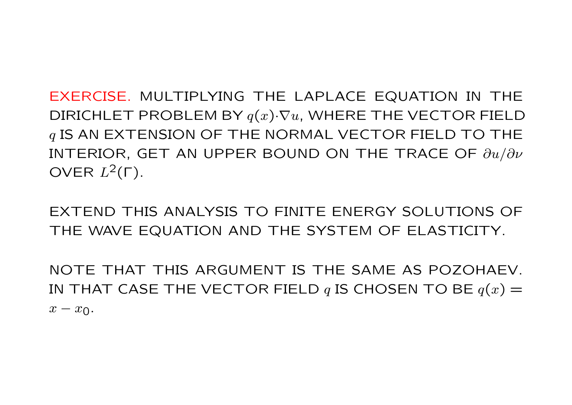EXERCISE. MULTIPLYING THE LAPLACE EQUATION IN THE DIRICHLET PROBLEM BY  $q(x)\cdot \nabla u$ , WHERE THE VECTOR FIELD q IS AN EXTENSION OF THE NORMAL VECTOR FIELD TO THE INTERIOR, GET AN UPPER BOUND ON THE TRACE OF  $\partial u/\partial \nu$ OVER  $L^2(\Gamma)$ .

EXTEND THIS ANALYSIS TO FINITE ENERGY SOLUTIONS OF THE WAVE EQUATION AND THE SYSTEM OF ELASTICITY.

NOTE THAT THIS ARGUMENT IS THE SAME AS POZOHAEV. IN THAT CASE THE VECTOR FIELD q IS CHOSEN TO BE  $q(x)$  =  $x - x_0$ .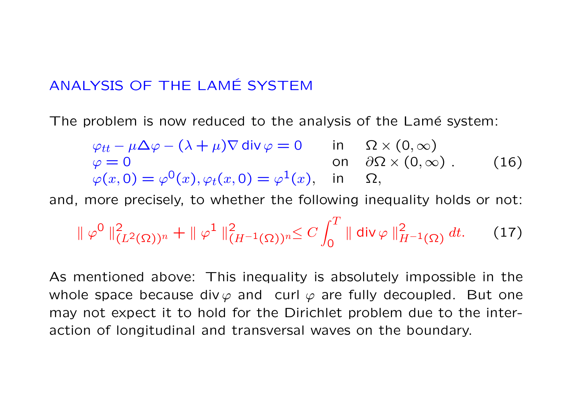#### ANALYSIS OF THE LAMÉ SYSTEM

The problem is now reduced to the analysis of the Lamé system:

$$
\varphi_{tt} - \mu \Delta \varphi - (\lambda + \mu) \nabla \operatorname{div} \varphi = 0 \quad \text{in} \quad \Omega \times (0, \infty)
$$
  
\n
$$
\varphi = 0 \quad \text{on} \quad \partial \Omega \times (0, \infty) . \quad (16)
$$
  
\n
$$
\varphi(x, 0) = \varphi^{0}(x), \varphi_{t}(x, 0) = \varphi^{1}(x), \quad \text{in} \quad \Omega,
$$

and, more precisely, to whether the following inequality holds or not:

$$
\|\varphi^0\|_{(L^2(\Omega))^n}^2 + \|\varphi^1\|_{(H^{-1}(\Omega))^n}^2 \le C \int_0^T \|\operatorname{div}\varphi\|_{H^{-1}(\Omega)}^2 dt. \tag{17}
$$

As mentioned above: This inequality is absolutely impossible in the whole space because div  $\varphi$  and curl  $\varphi$  are fully decoupled. But one may not expect it to hold for the Dirichlet problem due to the interaction of longitudinal and transversal waves on the boundary.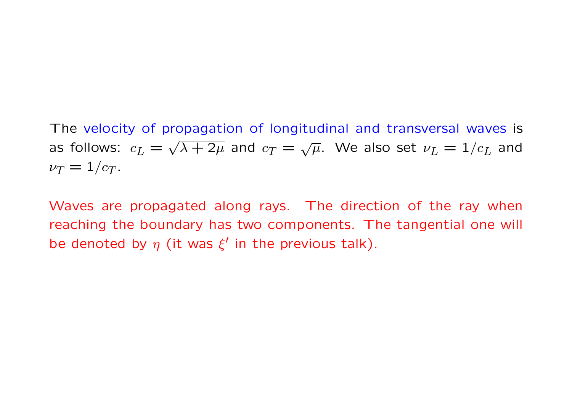The velocity of propagation of longitudinal and transversal waves is as follows:  $c_L =$ √  $\frac{\lambda + 2\mu}{\lambda + 2\mu}$  and  $c_T = \sqrt{\mu}$ . We also set  $\nu_L = 1/c_L$  and  $\nu_T = 1/c_T$ .

Waves are propagated along rays. The direction of the ray when reaching the boundary has two components. The tangential one will be denoted by  $\eta$  (it was  $\xi'$  in the previous talk).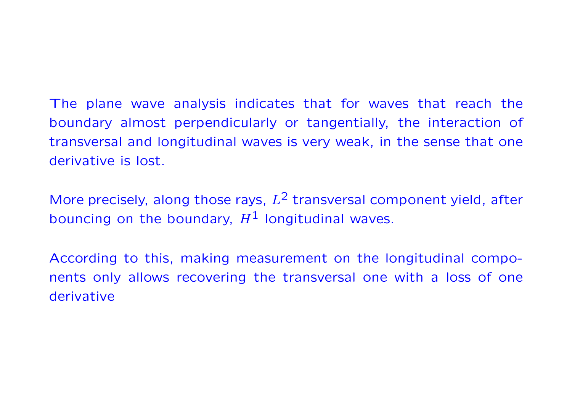The plane wave analysis indicates that for waves that reach the boundary almost perpendicularly or tangentially, the interaction of transversal and longitudinal waves is very weak, in the sense that one derivative is lost.

More precisely, along those rays,  $L^2$  transversal component yield, after bouncing on the boundary,  $H^1$  longitudinal waves.

According to this, making measurement on the longitudinal components only allows recovering the transversal one with a loss of one derivative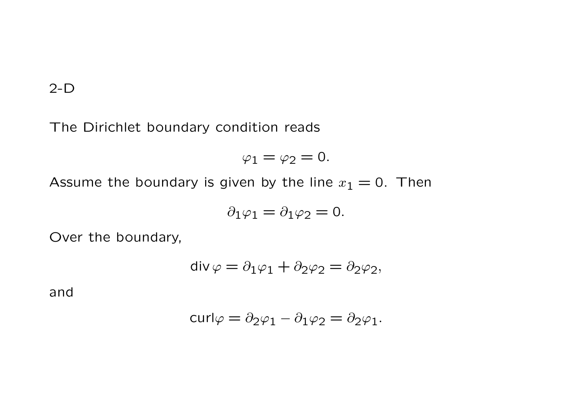2-D

The Dirichlet boundary condition reads

$$
\varphi_1=\varphi_2=0.
$$

Assume the boundary is given by the line  $x_1 = 0$ . Then

$$
\partial_1\varphi_1=\partial_1\varphi_2=0.
$$

Over the boundary,

$$
\operatorname{div}\varphi=\partial_1\varphi_1+\partial_2\varphi_2=\partial_2\varphi_2,
$$

and

$$
\operatorname{curl}\varphi=\partial_2\varphi_1-\partial_1\varphi_2=\partial_2\varphi_1.
$$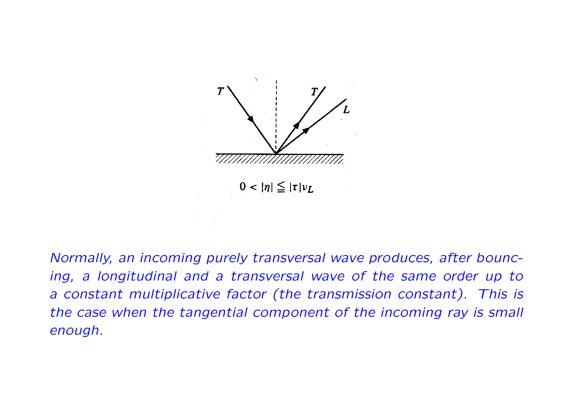

Normally, an incoming purely transversal wave produces, after bouncing, a longitudinal and a transversal wave of the same order up to a constant multiplicative factor (the transmission constant). This is the case when the tangential component of the incoming ray is small enough.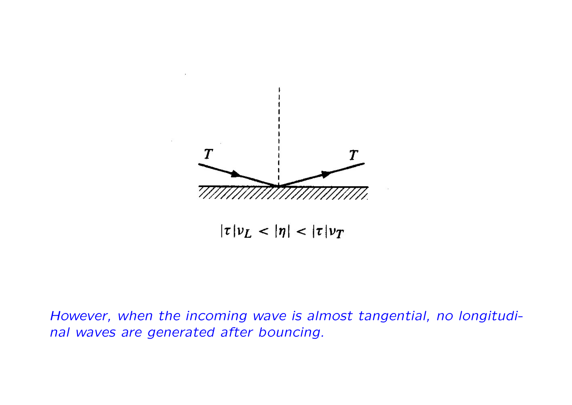

 $|\tau| \nu_L < |\eta| < |\tau| \nu_T$ 

However, when the incoming wave is almost tangential, no longitudinal waves are generated after bouncing.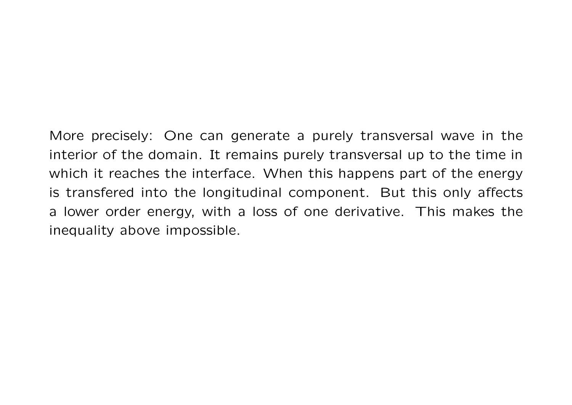More precisely: One can generate a purely transversal wave in the interior of the domain. It remains purely transversal up to the time in which it reaches the interface. When this happens part of the energy is transfered into the longitudinal component. But this only affects a lower order energy, with a loss of one derivative. This makes the inequality above impossible.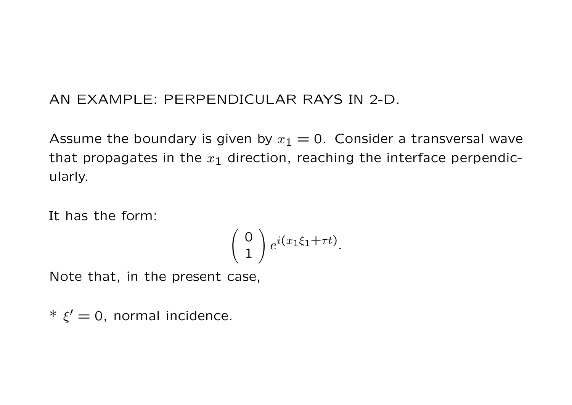### AN EXAMPLE: PERPENDICULAR RAYS IN 2-D.

Assume the boundary is given by  $x_1 = 0$ . Consider a transversal wave that propagates in the  $x_1$  direction, reaching the interface perpendicularly.

It has the form:

$$
\left(\begin{array}{c} 0 \\ 1 \end{array}\right) e^{i(x_1\xi_1 + \tau t)}.
$$

Note that, in the present case,

 $* \xi' = 0$ , normal incidence.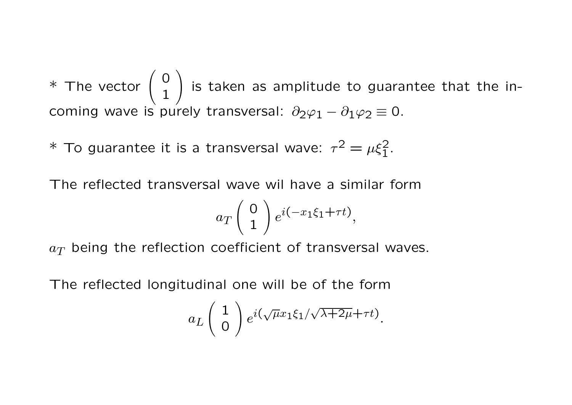\* The vector  $\begin{pmatrix} 0 \\ 1 \end{pmatrix}$ 1  $\setminus$ is taken as amplitude to guarantee that the incoming wave is purely transversal:  $\partial_2\varphi_1 - \partial_1\varphi_2 \equiv 0$ .

\* To guarantee it is a transversal wave:  $\tau^2 = \mu \xi_1^2$ .

The reflected transversal wave wil have a similar form

$$
a_T\left(\begin{array}{c} 0\\1 \end{array}\right)e^{i(-x_1\xi_1+\tau t)},
$$

 $a_T$  being the reflection coefficient of transversal waves.

The reflected longitudinal one will be of the form

$$
a_L\left(\begin{array}{c}1\\0\end{array}\right)e^{i(\sqrt{\mu}x_1\xi_1/\sqrt{\lambda+2\mu}+\tau t)}.
$$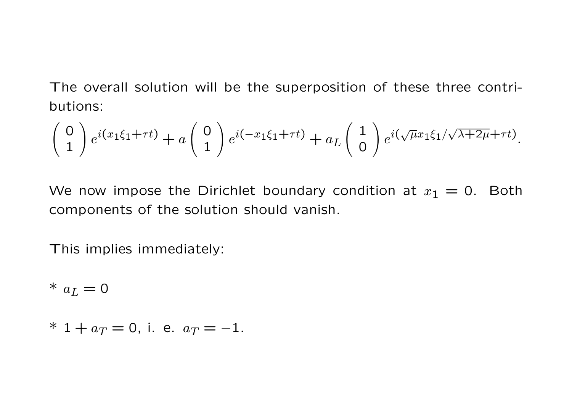The overall solution will be the superposition of these three contributions:

$$
\begin{pmatrix} 0 \\ 1 \end{pmatrix} e^{i(x_1\xi_1 + \tau t)} + a \begin{pmatrix} 0 \\ 1 \end{pmatrix} e^{i(-x_1\xi_1 + \tau t)} + a_L \begin{pmatrix} 1 \\ 0 \end{pmatrix} e^{i(\sqrt{\mu}x_1\xi_1/\sqrt{\lambda + 2\mu} + \tau t)}.
$$

We now impose the Dirichlet boundary condition at  $x_1 = 0$ . Both components of the solution should vanish.

This implies immediately:

$$
* \ a_L = 0
$$

\* 1 + 
$$
a_T = 0
$$
, i. e.  $a_T = -1$ .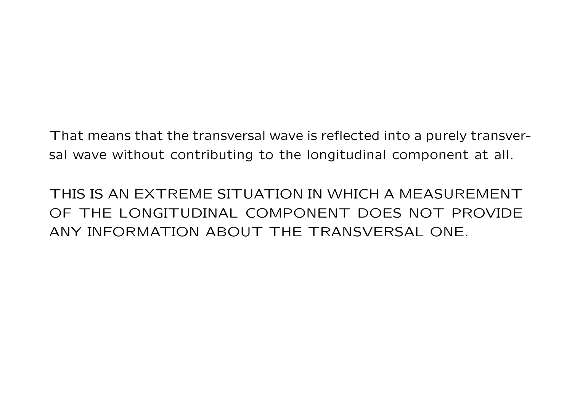That means that the transversal wave is reflected into a purely transversal wave without contributing to the longitudinal component at all.

THIS IS AN EXTREME SITUATION IN WHICH A MEASUREMENT OF THE LONGITUDINAL COMPONENT DOES NOT PROVIDE ANY INFORMATION ABOUT THE TRANSVERSAL ONE.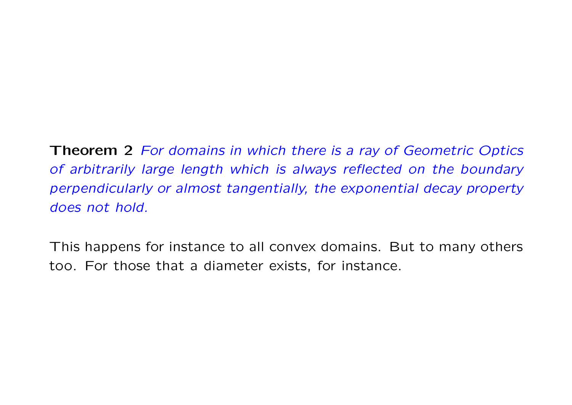Theorem 2 For domains in which there is a ray of Geometric Optics of arbitrarily large length which is always reflected on the boundary perpendicularly or almost tangentially, the exponential decay property does not hold.

This happens for instance to all convex domains. But to many others too. For those that a diameter exists, for instance.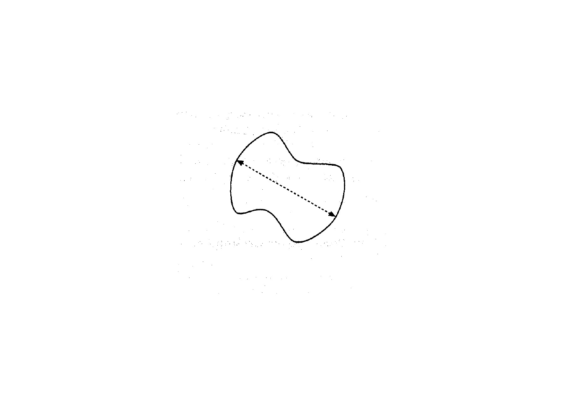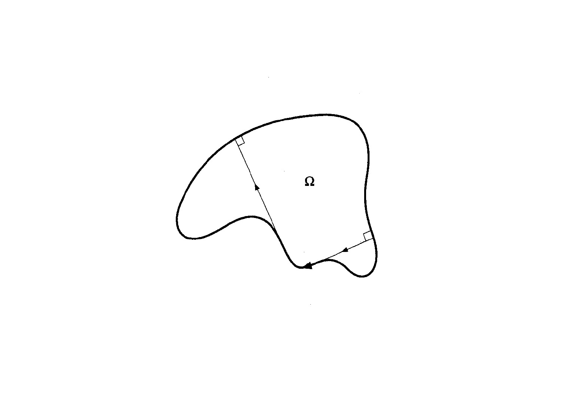

×.

- 20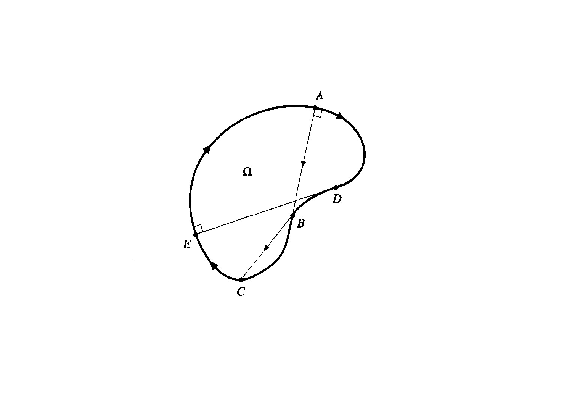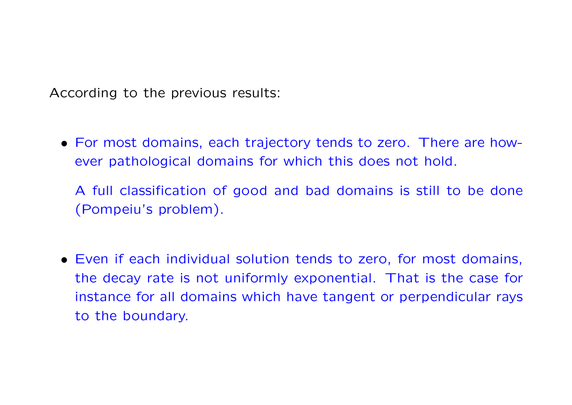According to the previous results:

• For most domains, each trajectory tends to zero. There are however pathological domains for which this does not hold.

A full classification of good and bad domains is still to be done (Pompeiu's problem).

• Even if each individual solution tends to zero, for most domains, the decay rate is not uniformly exponential. That is the case for instance for all domains which have tangent or perpendicular rays to the boundary.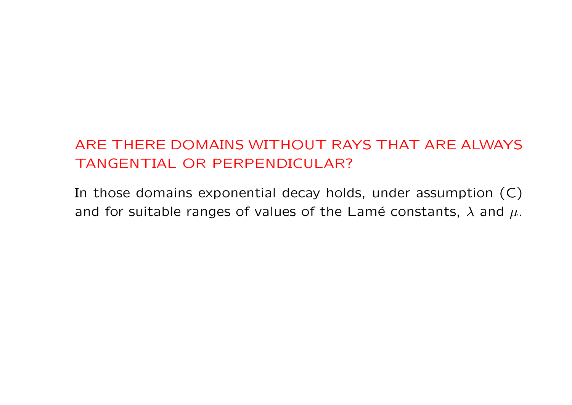# ARE THERE DOMAINS WITHOUT RAYS THAT ARE ALWAYS TANGENTIAL OR PERPENDICULAR?

In those domains exponential decay holds, under assumption (C) and for suitable ranges of values of the Lamé constants,  $\lambda$  and  $\mu$ .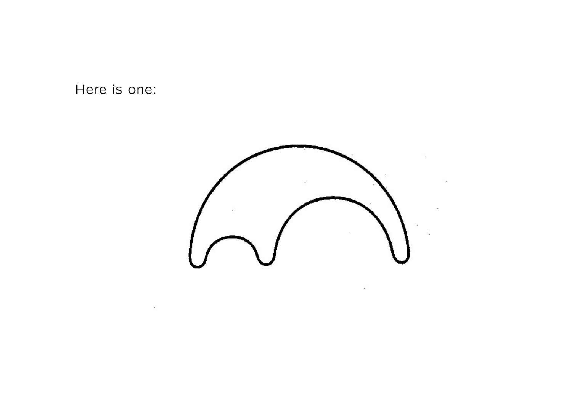Here is one:



 $\mathcal{L}$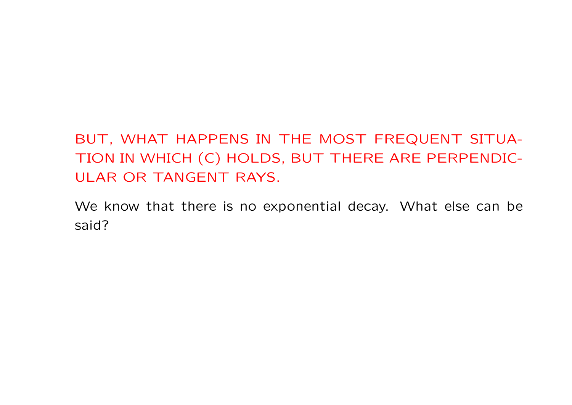BUT, WHAT HAPPENS IN THE MOST FREQUENT SITUA-TION IN WHICH (C) HOLDS, BUT THERE ARE PERPENDIC-ULAR OR TANGENT RAYS.

We know that there is no exponential decay. What else can be said?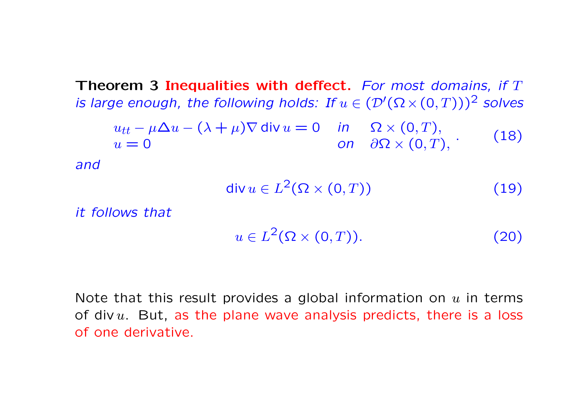Theorem 3 Inequalities with deffect. For most domains, if  $T$ is large enough, the following holds: If  $u \in (\mathcal{D}'(\Omega \times (0,T)))^2$  solves

$$
u_{tt} - \mu \Delta u - (\lambda + \mu) \nabla \operatorname{div} u = 0 \quad \text{in} \quad \Omega \times (0, T),
$$
  
 
$$
u = 0 \quad \text{on} \quad \partial \Omega \times (0, T), \tag{18}
$$

and

$$
\operatorname{div} u \in L^2(\Omega \times (0,T)) \tag{19}
$$

it follows that

$$
u \in L^2(\Omega \times (0,T)).
$$
 (20)

Note that this result provides a global information on  $u$  in terms of div  $u$ . But, as the plane wave analysis predicts, there is a loss of one derivative.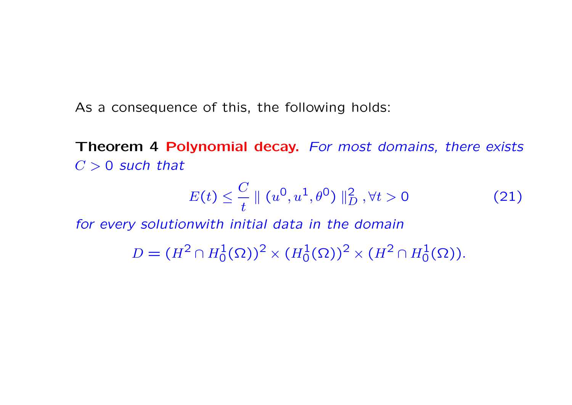As a consequence of this, the following holds:

Theorem 4 Polynomial decay. For most domains, there exists  $C > 0$  such that

$$
E(t) \leq \frac{C}{t} \| (u^0, u^1, \theta^0) \|_D^2, \forall t > 0 \tag{21}
$$

for every solutionwith initial data in the domain

 $D = (H^2 \cap H_0^1(\Omega))^2 \times (H_0^1(\Omega))^2 \times (H^2 \cap H_0^1(\Omega)).$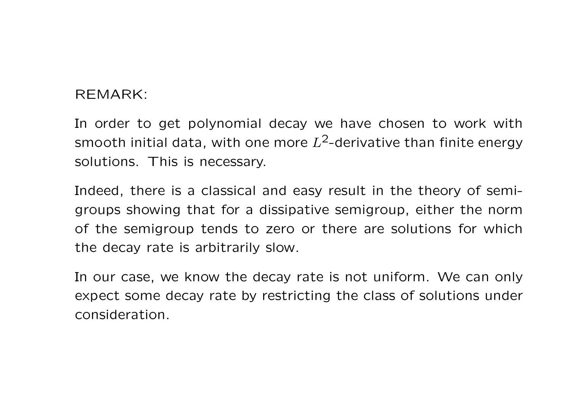#### REMARK:

In order to get polynomial decay we have chosen to work with smooth initial data, with one more  $L^2$ -derivative than finite energy solutions. This is necessary.

Indeed, there is a classical and easy result in the theory of semigroups showing that for a dissipative semigroup, either the norm of the semigroup tends to zero or there are solutions for which the decay rate is arbitrarily slow.

In our case, we know the decay rate is not uniform. We can only expect some decay rate by restricting the class of solutions under consideration.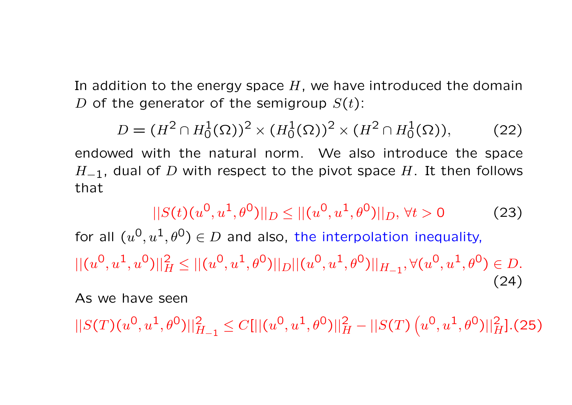In addition to the energy space  $H$ , we have introduced the domain D of the generator of the semigroup  $S(t)$ :

$$
D = (H^2 \cap H_0^1(\Omega))^2 \times (H_0^1(\Omega))^2 \times (H^2 \cap H_0^1(\Omega)), \tag{22}
$$

endowed with the natural norm. We also introduce the space  $H_{-1}$ , dual of D with respect to the pivot space H. It then follows that

$$
||S(t)(u^0, u^1, \theta^0)||_D \le ||(u^0, u^1, \theta^0)||_D, \forall t > 0
$$
 (23)

for all  $(u^0, u^1, \theta^0) \in D$  and also, the interpolation inequality,

 $||(u^0, u^1, u^0)||_H^2 \le ||(u^0, u^1, \theta^0)||_D ||(u^0, u^1, \theta^0)||_{H_{-1}}, \forall (u^0, u^1, \theta^0) \in D.$ (24)

As we have seen

 $||S(T)(u^0, u^1, \theta^0)||_{H_{-1}}^2 \leq C[||(u^0, u^1, \theta^0)||_H^2 - ||S(T)(u^0, u^1, \theta^0)||_H^2].$ (25)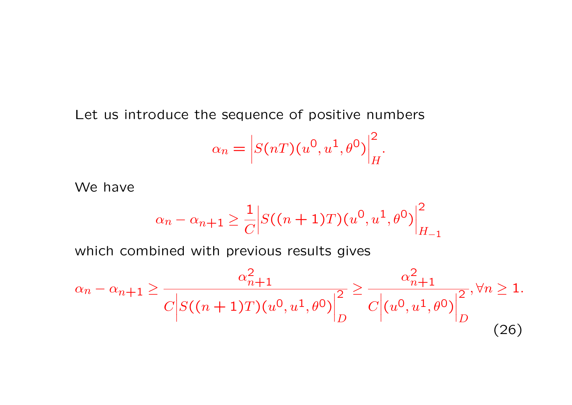Let us introduce the sequence of positive numbers

$$
\alpha_n = \left| S(nT)(u^0, u^1, \theta^0) \right|_H^2.
$$

We have

$$
\alpha_n - \alpha_{n+1} \ge \frac{1}{C} \Big| S((n+1)T)(u^0, u^1, \theta^0) \Big|_{H_{-1}}^2
$$

which combined with previous results gives

$$
\alpha_n - \alpha_{n+1} \ge \frac{\alpha_{n+1}^2}{C \left| S((n+1)T)(u^0, u^1, \theta^0) \right|_D^2} \ge \frac{\alpha_{n+1}^2}{C \left| (u^0, u^1, \theta^0) \right|_D^2}, \forall n \ge 1.
$$
\n(26)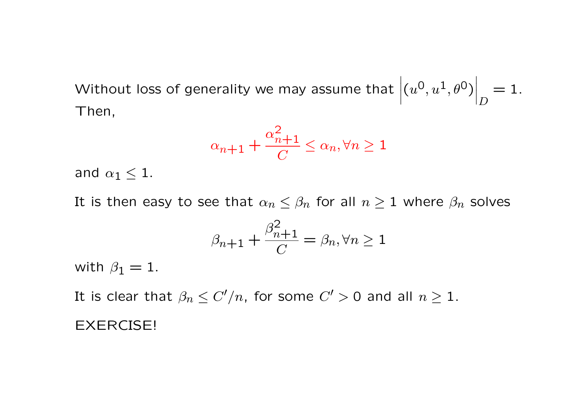Without loss of generality we may assume that  $\Big\}$  $\Big\}$  $\Big\}$  $\vert$  $(u^0, u^1, \theta^0)$  $\Big\}$  $\Big\}$  $|D|$  $= 1$ . Then,

$$
\alpha_{n+1}+\frac{\alpha_{n+1}^2}{C}\leq \alpha_n, \forall n\geq 1
$$

and  $\alpha_1 \leq 1$ .

It is then easy to see that  $\alpha_n \leq \beta_n$  for all  $n \geq 1$  where  $\beta_n$  solves

$$
\beta_{n+1} + \frac{\beta_{n+1}^2}{C} = \beta_n, \forall n \ge 1
$$

with  $\beta_1 = 1$ .

It is clear that  $\beta_n \leq C'/n$ , for some  $C' > 0$  and all  $n \geq 1$ .

#### EXERCISE!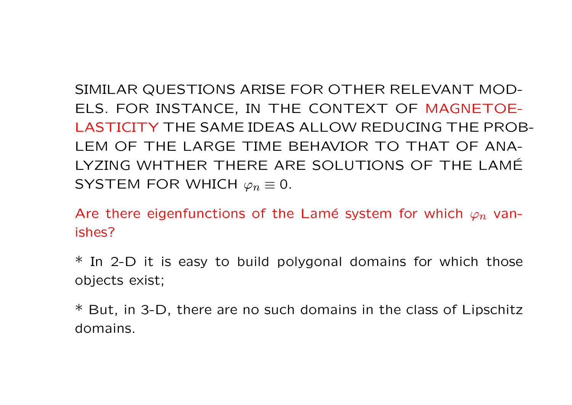SIMILAR QUESTIONS ARISE FOR OTHER RELEVANT MOD-ELS. FOR INSTANCE, IN THE CONTEXT OF MAGNETOE-LASTICITY THE SAME IDEAS ALLOW REDUCING THE PROB-LEM OF THE LARGE TIME BEHAVIOR TO THAT OF ANA-LYZING WHTHER THERE ARE SOLUTIONS OF THE LAME´ SYSTEM FOR WHICH  $\varphi_n \equiv 0$ .

Are there eigenfunctions of the Lamé system for which  $\varphi_n$  vanishes?

\* In 2-D it is easy to build polygonal domains for which those objects exist;

\* But, in 3-D, there are no such domains in the class of Lipschitz domains.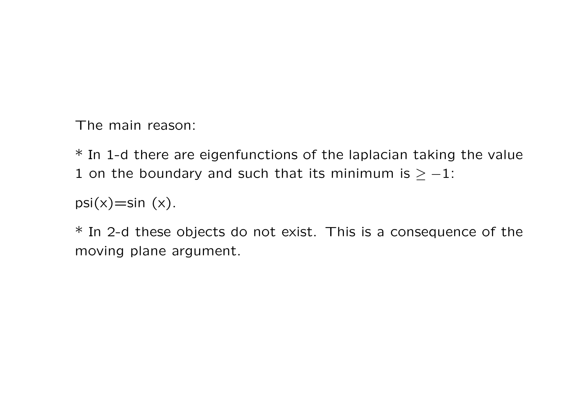The main reason:

 $*$  In 1-d there are eigenfunctions of the laplacian taking the value 1 on the boundary and such that its minimum is  $\geq -1$ :

 $psi(x)=sin(x)$ .

 $*$  In 2-d these objects do not exist. This is a consequence of the moving plane argument.